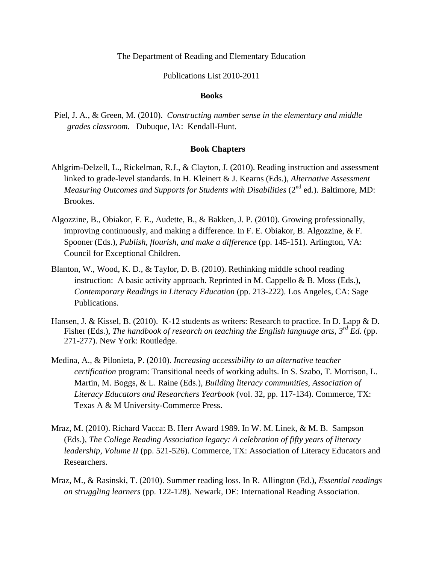## The Department of Reading and Elementary Education

## Publications List 2010-2011

#### **Books**

Piel, J. A., & Green, M. (2010). *Constructing number sense in the elementary and middle grades classroom.* Dubuque, IA: Kendall-Hunt.

## **Book Chapters**

- Ahlgrim-Delzell, L., Rickelman, R.J., & Clayton, J. (2010). Reading instruction and assessment linked to grade-level standards. In H. Kleinert & J. Kearns (Eds.), *Alternative Assessment Measuring Outcomes and Supports for Students with Disabilities* (2<sup>nd</sup> ed.). Baltimore, MD: Brookes.
- Algozzine, B., Obiakor, F. E., Audette, B., & Bakken, J. P. (2010). Growing professionally, improving continuously, and making a difference. In F. E. Obiakor, B. Algozzine, & F. Spooner (Eds.), *Publish, flourish, and make a difference* (pp. 145-151). Arlington, VA: Council for Exceptional Children.
- Blanton, W., Wood, K. D., & Taylor, D. B. (2010). Rethinking middle school reading instruction: A basic activity approach. Reprinted in M. Cappello & B. Moss (Eds.), *Contemporary Readings in Literacy Education* (pp. 213-222). Los Angeles, CA: Sage Publications.
- Hansen, J. & Kissel, B. (2010). K-12 students as writers: Research to practice. In D. Lapp & D. Fisher (Eds.), *The handbook of research on teaching the English language arts, 3<sup>rd</sup> Ed.* (pp. 271-277). New York: Routledge.
- Medina, A., & Pilonieta, P. (2010). *Increasing accessibility to an alternative teacher certification* program: Transitional needs of working adults. In S. Szabo, T. Morrison, L. Martin, M. Boggs, & L. Raine (Eds.), *Building literacy communities, Association of Literacy Educators and Researchers Yearbook* (vol. 32, pp. 117-134). Commerce, TX: Texas A & M University-Commerce Press.
- Mraz, M. (2010). Richard Vacca: B. Herr Award 1989. In W. M. Linek, & M. B. Sampson (Eds.), *The College Reading Association legacy: A celebration of fifty years of literacy leadership, Volume II* (pp. 521-526). Commerce, TX: Association of Literacy Educators and Researchers.
- Mraz, M., & Rasinski, T. (2010). Summer reading loss. In R. Allington (Ed.), *Essential readings on struggling learners* (pp. 122-128)*.* Newark, DE: International Reading Association.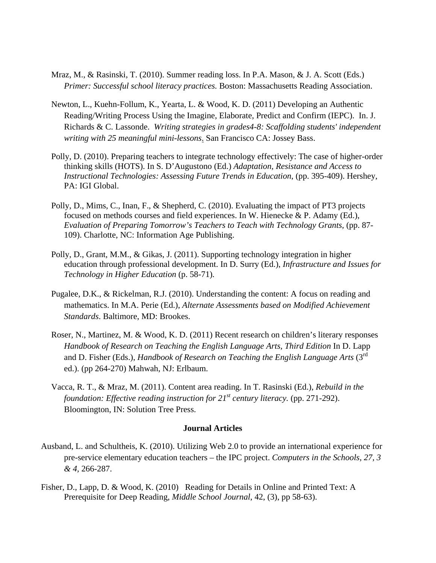- Mraz, M., & Rasinski, T. (2010). Summer reading loss. In P.A. Mason, & J. A. Scott (Eds.) *Primer: Successful school literacy practices.* Boston: Massachusetts Reading Association.
- Newton, L., Kuehn-Follum, K., Yearta, L. & Wood, K. D. (2011) Developing an Authentic Reading/Writing Process Using the Imagine, Elaborate, Predict and Confirm (IEPC). In. J. Richards & C. Lassonde. *Writing strategies in grades4-8: Scaffolding students' independent writing with 25 meaningful mini-lessons*. San Francisco CA: Jossey Bass.
- Polly, D. (2010). Preparing teachers to integrate technology effectively: The case of higher-order thinking skills (HOTS). In S. D'Augustono (Ed.) *Adaptation, Resistance and Access to Instructional Technologies: Assessing Future Trends in Education*, (pp. 395-409). Hershey, PA: IGI Global.
- Polly, D., Mims, C., Inan, F., & Shepherd, C. (2010). Evaluating the impact of PT3 projects focused on methods courses and field experiences. In W. Hienecke & P. Adamy (Ed.), *Evaluation of Preparing Tomorrow's Teachers to Teach with Technology Grants, (pp. 87-*109). Charlotte, NC: Information Age Publishing.
- Polly, D., Grant, M.M., & Gikas, J. (2011). Supporting technology integration in higher education through professional development. In D. Surry (Ed.), *Infrastructure and Issues for Technology in Higher Education* (p. 58-71)*.*
- Pugalee, D.K., & Rickelman, R.J. (2010). Understanding the content: A focus on reading and mathematics. In M.A. Perie (Ed.), *Alternate Assessments based on Modified Achievement Standards*. Baltimore, MD: Brookes.
- Roser, N., Martinez, M. & Wood, K. D. (2011) Recent research on children's literary responses *Handbook of Research on Teaching the English Language Arts, Third Edition* In D. Lapp and D. Fisher (Eds.), *Handbook of Research on Teaching the English Language Arts* (3<sup>rd</sup>) ed.). (pp 264-270) Mahwah, NJ: Erlbaum.
- Vacca, R. T., & Mraz, M. (2011). Content area reading. In T. Rasinski (Ed.), *Rebuild in the foundation: Effective reading instruction for*  $21^{st}$  *century literacy. (pp. 271-292).* Bloomington, IN: Solution Tree Press.

# **Journal Articles**

- Ausband, L. and Schultheis, K. (2010). Utilizing Web 2.0 to provide an international experience for pre-service elementary education teachers – the IPC project. *Computers in the Schools, 27, 3 & 4,* 266-287.
- Fisher, D., Lapp, D. & Wood, K. (2010) Reading for Details in Online and Printed Text: A Prerequisite for Deep Reading, *Middle School Journal*, 42, (3), pp 58-63).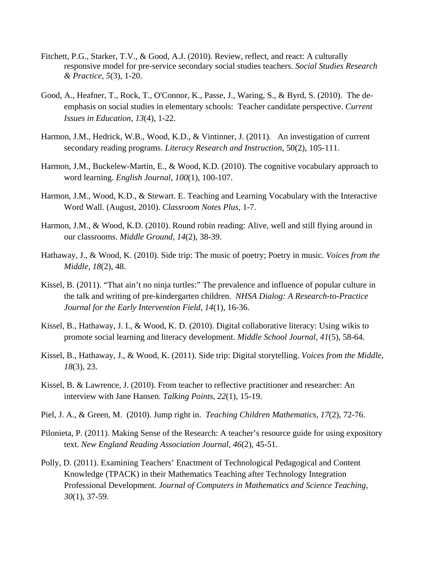- Fitchett, P.G., Starker, T.V., & Good, A.J. (2010). Review, reflect, and react: A culturally responsive model for pre-service secondary social studies teachers. *Social Studies Research & Practice*, *5*(3), 1-20.
- Good, A., Heafner, T., Rock, T., O'Connor, K., Passe, J., Waring, S., & Byrd, S. (2010). The deemphasis on social studies in elementary schools: Teacher candidate perspective. *Current Issues in Education*, *13*(4), 1-22.
- Harmon, J.M., Hedrick, W.B., Wood, K.D., & Vintinner, J. (2011). An investigation of current secondary reading programs. *Literacy Research and Instruction,* 50(2), 105-111.
- Harmon, J.M., Buckelew-Martin, E., & Wood, K.D. (2010). The cognitive vocabulary approach to word learning. *English Journal, 100*(1), 100-107.
- Harmon, J.M., Wood, K.D., & Stewart. E. Teaching and Learning Vocabulary with the Interactive Word Wall. (August, 2010). *Classroom Notes Plus*, 1-7.
- Harmon, J.M., & Wood, K.D. (2010). Round robin reading: Alive, well and still flying around in our classrooms. *Middle Ground, 14*(2), 38-39.
- Hathaway, J., & Wood, K. (2010). Side trip: The music of poetry; Poetry in music. *Voices from the Middle, 18*(2), 48.
- Kissel, B. (2011). "That ain't no ninja turtles:" The prevalence and influence of popular culture in the talk and writing of pre-kindergarten children. *NHSA Dialog: A Research-to-Practice Journal for the Early Intervention Field, 14*(1), 16-36.
- Kissel, B., Hathaway, J. I., & Wood, K. D. (2010). Digital collaborative literacy: Using wikis to promote social learning and literacy development. *Middle School Journal, 41*(5), 58-64.
- Kissel, B., Hathaway, J., & Wood, K. (2011). Side trip: Digital storytelling. *Voices from the Middle, 18*(3), 23.
- Kissel, B. & Lawrence, J. (2010). From teacher to reflective practitioner and researcher: An interview with Jane Hansen. *Talking Points, 22*(1), 15-19.
- Piel, J. A., & Green, M. (2010). Jump right in. *Teaching Children Mathematics, 17*(2), 72-76.
- Pilonieta, P. (2011). Making Sense of the Research: A teacher's resource guide for using expository text. *New England Reading Association Journal, 46*(2), 45-51*.*
- Polly, D. (2011). Examining Teachers' Enactment of Technological Pedagogical and Content Knowledge (TPACK) in their Mathematics Teaching after Technology Integration Professional Development. *Journal of Computers in Mathematics and Science Teaching*, *30*(1), 37-59.